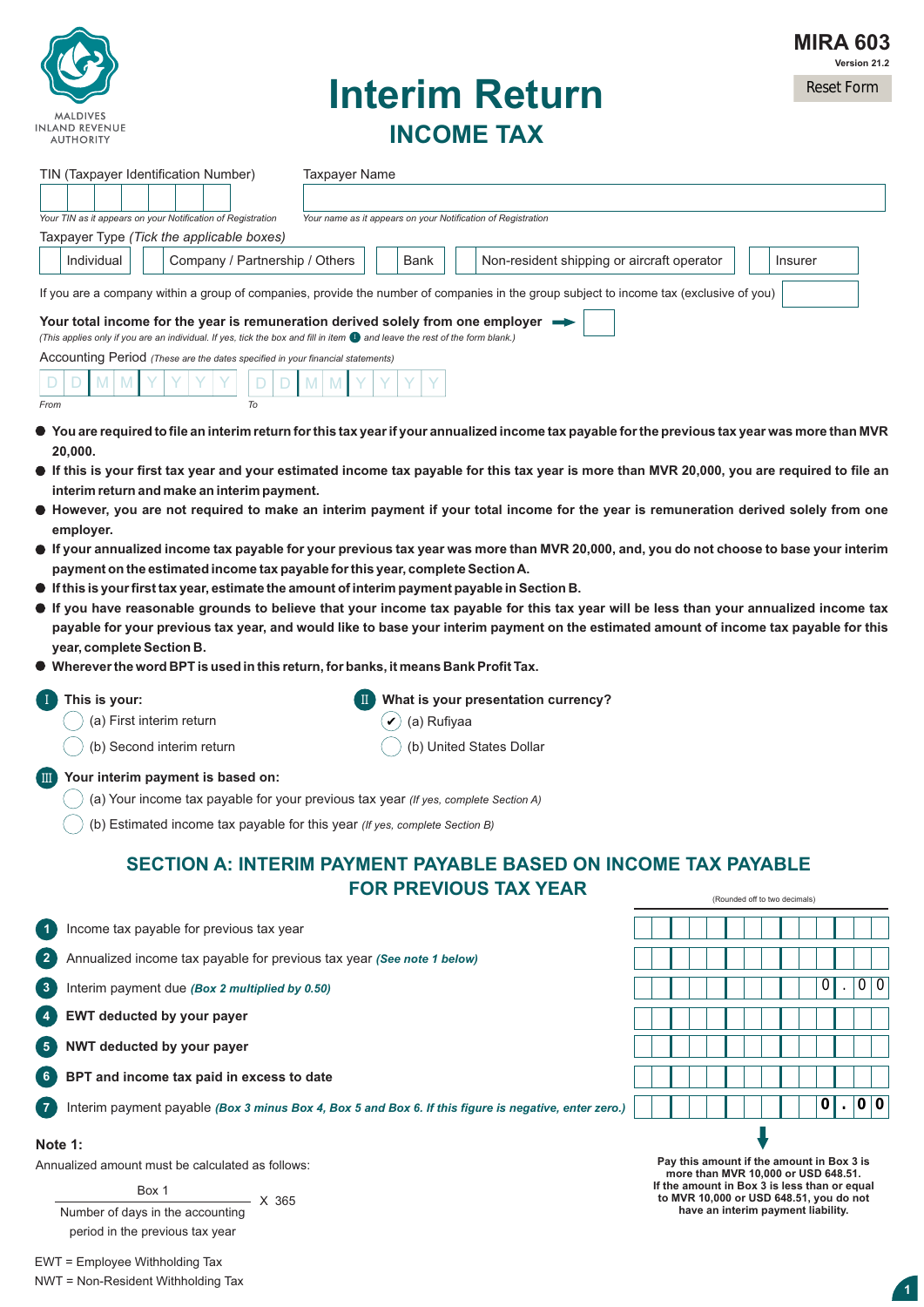

# **Interim Return INCOME TAX**

| TIN (Taxpayer Identification Number)<br><b>Taxpayer Name</b>                                                                                                                                                                                                                              |                               |     |
|-------------------------------------------------------------------------------------------------------------------------------------------------------------------------------------------------------------------------------------------------------------------------------------------|-------------------------------|-----|
|                                                                                                                                                                                                                                                                                           |                               |     |
| Your TIN as it appears on your Notification of Registration<br>Your name as it appears on your Notification of Registration                                                                                                                                                               |                               |     |
| Taxpayer Type (Tick the applicable boxes)                                                                                                                                                                                                                                                 |                               |     |
| Non-resident shipping or aircraft operator<br>Individual<br>Company / Partnership / Others<br>Bank                                                                                                                                                                                        | Insurer                       |     |
| If you are a company within a group of companies, provide the number of companies in the group subject to income tax (exclusive of you)                                                                                                                                                   |                               |     |
| Your total income for the year is remuneration derived solely from one employer                                                                                                                                                                                                           |                               |     |
| (This applies only if you are an individual. If yes, tick the box and fill in item $\bullet$ and leave the rest of the form blank.)<br>Accounting Period (These are the dates specified in your financial statements)                                                                     |                               |     |
| D                                                                                                                                                                                                                                                                                         |                               |     |
| To<br>From                                                                                                                                                                                                                                                                                |                               |     |
| $\bullet$ You are required to file an interim return for this tax year if your annualized income tax payable for the previous tax year was more than MVR                                                                                                                                  |                               |     |
| 20.000.                                                                                                                                                                                                                                                                                   |                               |     |
| $\bullet$ If this is your first tax year and your estimated income tax payable for this tax year is more than MVR 20,000, you are required to file an<br>interim return and make an interim payment.                                                                                      |                               |     |
| If However, you are not required to make an interim payment if your total income for the year is remuneration derived solely from one                                                                                                                                                     |                               |     |
| employer.                                                                                                                                                                                                                                                                                 |                               |     |
| $\bullet\,$ If your annualized income tax payable for your previous tax year was more than MVR 20,000, and, you do not choose to base your interim<br>payment on the estimated income tax payable for this year, complete Section A.                                                      |                               |     |
| $\bullet\,$ If this is your first tax year, estimate the amount of interim payment payable in Section B.                                                                                                                                                                                  |                               |     |
| $\bullet$ If you have reasonable grounds to believe that your income tax payable for this tax year will be less than your annualized income tax<br>payable for your previous tax year, and would like to base your interim payment on the estimated amount of income tax payable for this |                               |     |
| year, complete Section B.                                                                                                                                                                                                                                                                 |                               |     |
|                                                                                                                                                                                                                                                                                           |                               |     |
| $\bullet\,$ Wherever the word BPT is used in this return, for banks, it means Bank Profit Tax.                                                                                                                                                                                            |                               |     |
| $\left($ I<br>What is your presentation currency?<br>This is your:                                                                                                                                                                                                                        |                               |     |
| (a) First interim return<br>(a) Rufiyaa                                                                                                                                                                                                                                                   |                               |     |
| (b) Second interim return<br>(b) United States Dollar                                                                                                                                                                                                                                     |                               |     |
| <b>III</b> Your interim payment is based on:                                                                                                                                                                                                                                              |                               |     |
| (a) Your income tax payable for your previous tax year (If yes, complete Section A)                                                                                                                                                                                                       |                               |     |
| (b) Estimated income tax payable for this year (If yes, complete Section B)                                                                                                                                                                                                               |                               |     |
| SECTION A: INTERIM PAYMENT PAYABLE BASED ON INCOME TAX PAYABLE                                                                                                                                                                                                                            |                               |     |
| <b>FOR PREVIOUS TAX YEAR</b>                                                                                                                                                                                                                                                              |                               |     |
|                                                                                                                                                                                                                                                                                           | (Rounded off to two decimals) |     |
| Income tax payable for previous tax year<br>$\blacksquare$ 1                                                                                                                                                                                                                              |                               |     |
| $\mathbf{2}$<br>Annualized income tax payable for previous tax year (See note 1 below)                                                                                                                                                                                                    |                               |     |
| 3<br>Interim payment due (Box 2 multiplied by 0.50)                                                                                                                                                                                                                                       | 0                             | 0 0 |
| $\left( 4 \right)$<br>EWT deducted by your payer                                                                                                                                                                                                                                          |                               |     |
| 6<br>NWT deducted by your payer                                                                                                                                                                                                                                                           |                               |     |
| 6)<br>BPT and income tax paid in excess to date                                                                                                                                                                                                                                           |                               |     |
| $\left(7\right)$<br>Interim payment payable (Box 3 minus Box 4, Box 5 and Box 6. If this figure is negative, enter zero.)                                                                                                                                                                 | 0                             | 0 0 |

Annualized amount must be calculated as follows:

Box 1

Number of days in the accounting period in the previous tax year  $- X 365$  **2 Pay this amount if the amount in Box 3 is more than MVR 10,000 or USD 648.51. If the amount in Box 3 is less than or equal to MVR 10,000 or USD 648.51, you do not have an interim payment liability.**

EWT = Employee Withholding Tax NWT = Non-Resident Withholding Tax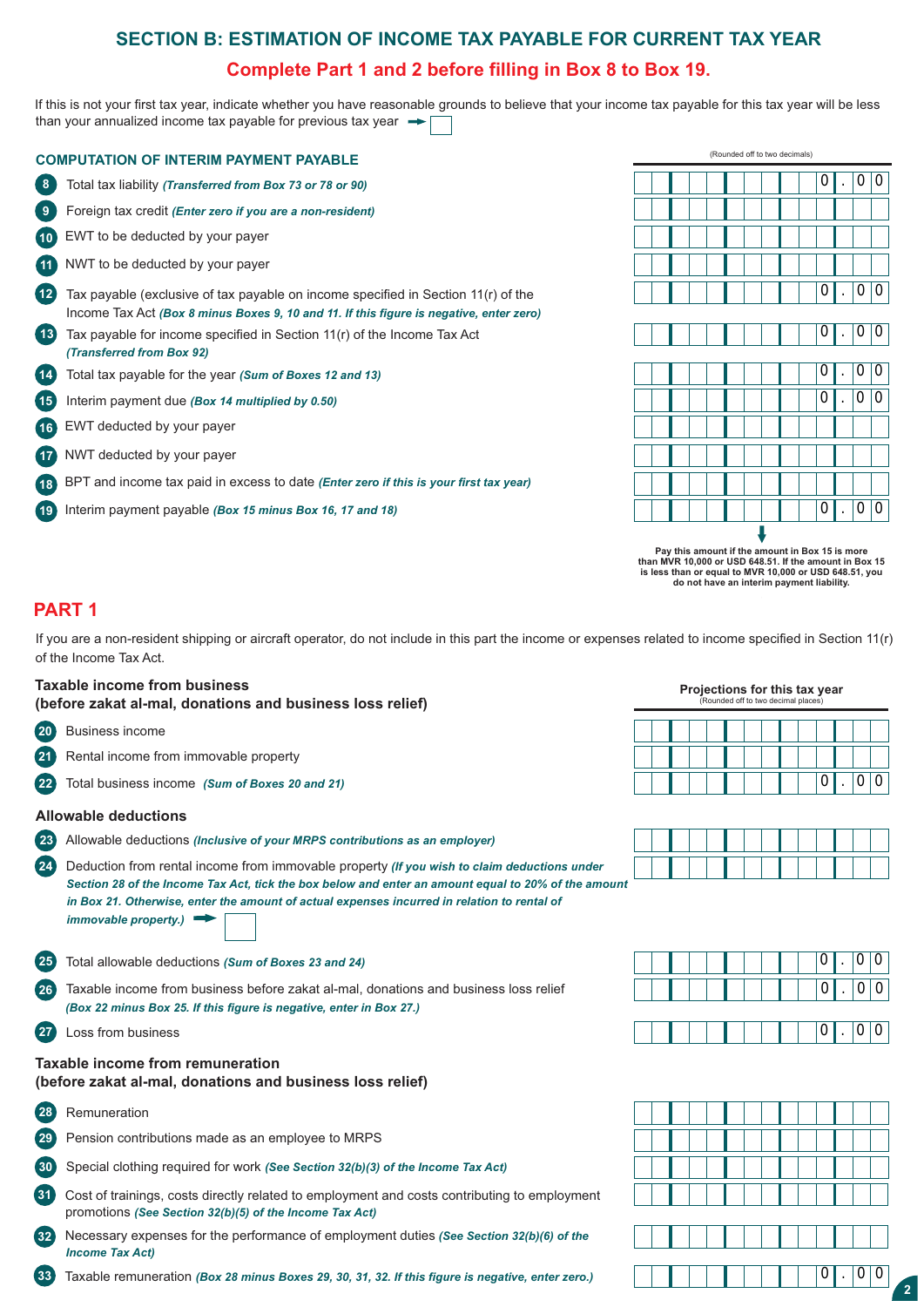# **SECTION B: ESTIMATION OF INCOME TAX PAYABLE FOR CURRENT TAX YEAR**

### **Complete Part 1 and 2 before filling in Box 8 to Box 19.**

If this is not your first tax year, indicate whether you have reasonable grounds to believe that your income tax payable for this tax year will be less than your annualized income tax payable for previous tax year  $\rightarrow$ 

|                   | <b>COMPUTATION OF INTERIM PAYMENT PAYABLE</b>                                                                                                                                |
|-------------------|------------------------------------------------------------------------------------------------------------------------------------------------------------------------------|
| 8                 | Total tax liability (Transferred from Box 73 or 78 or 90)                                                                                                                    |
| 9                 | Foreign tax credit (Enter zero if you are a non-resident)                                                                                                                    |
| (10)              | EWT to be deducted by your payer                                                                                                                                             |
| (11)              | NWT to be deducted by your payer                                                                                                                                             |
| 12                | Tax payable (exclusive of tax payable on income specified in Section 11(r) of the<br>Income Tax Act (Box 8 minus Boxes 9, 10 and 11. If this figure is negative, enter zero) |
| (13)              | Tax payable for income specified in Section $11(r)$ of the Income Tax Act<br>(Transferred from Box 92)                                                                       |
| $\left(14\right)$ | Total tax payable for the year (Sum of Boxes 12 and 13)                                                                                                                      |
| (15)              | Interim payment due (Box 14 multiplied by 0.50)                                                                                                                              |
| (16)              | EWT deducted by your payer                                                                                                                                                   |
| (17)              | NWT deducted by your payer                                                                                                                                                   |
| (18)              | BPT and income tax paid in excess to date (Enter zero if this is your first tax year)                                                                                        |
| (19)              | Interim payment payable (Box 15 minus Box 16, 17 and 18)                                                                                                                     |



**2 do not have an interim payment liability. Pay this amount if the amount in Box 15 is more than MVR 10,000 or USD 648.51. If the amount in Box 15 is less than or equal to MVR 10,000 or USD 648.51, you** 

### **PART 1**

If you are a non-resident shipping or aircraft operator, do not include in this part the income or expenses related to income specified in Section 11(r) of the Income Tax Act.

### **Taxable income from business** *Projections for this tax year* **<b>Projections for this tax year**

**(before zakat al-mal, donations and business loss relief)**

- **20** Business income
- **21** Rental income from immovable property
- **22** Total business income *(Sum of Boxes 20 and 21)*

### **Allowable deductions**

- **23** Allowable deductions *(Inclusive of your MRPS contributions as an employer)*
- *Section 28 of the Income Tax Act, tick the box below and enter an amount equal to 20% of the amount*  **24** Deduction from rental income from immovable property *(If you wish to claim deductions under in Box 21. Otherwise, enter the amount of actual expenses incurred in relation to rental of immovable property.)*
- **25** Total allowable deductions *(Sum of Boxes 23 and 24)*
- **26** Taxable income from business before zakat al-mal, donations and business loss relief *(Box 22 minus Box 25. If this figure is negative, enter in Box 27.)*
- **27** Loss from business

### **Taxable income from remuneration (before zakat al-mal, donations and business loss relief)**

- **28** Remuneration
- **29** Pension contributions made as an employee to MRPS
- **30** Special clothing required for work *(See Section 32(b)(3) of the Income Tax Act)*
- **31** Cost of trainings, costs directly related to employment and costs contributing to employment promotions *(See Section 32(b)(5) of the Income Tax Act)*
- **32** Necessary expenses for the performance of employment duties *(See Section 32(b)(6) of the Income Tax Act)*
- **33** Taxable remuneration *(Box 28 minus Boxes 29, 30, 31, 32. If this figure is negative, enter zero.)*



|  |  |  |  |  | U | $\bullet$ |  |
|--|--|--|--|--|---|-----------|--|

| 0  0  0  0 |  |  |           |  |  |  |
|------------|--|--|-----------|--|--|--|
|            |  |  | 0  .  0 0 |  |  |  |
|            |  |  |           |  |  |  |
|            |  |  |           |  |  |  |

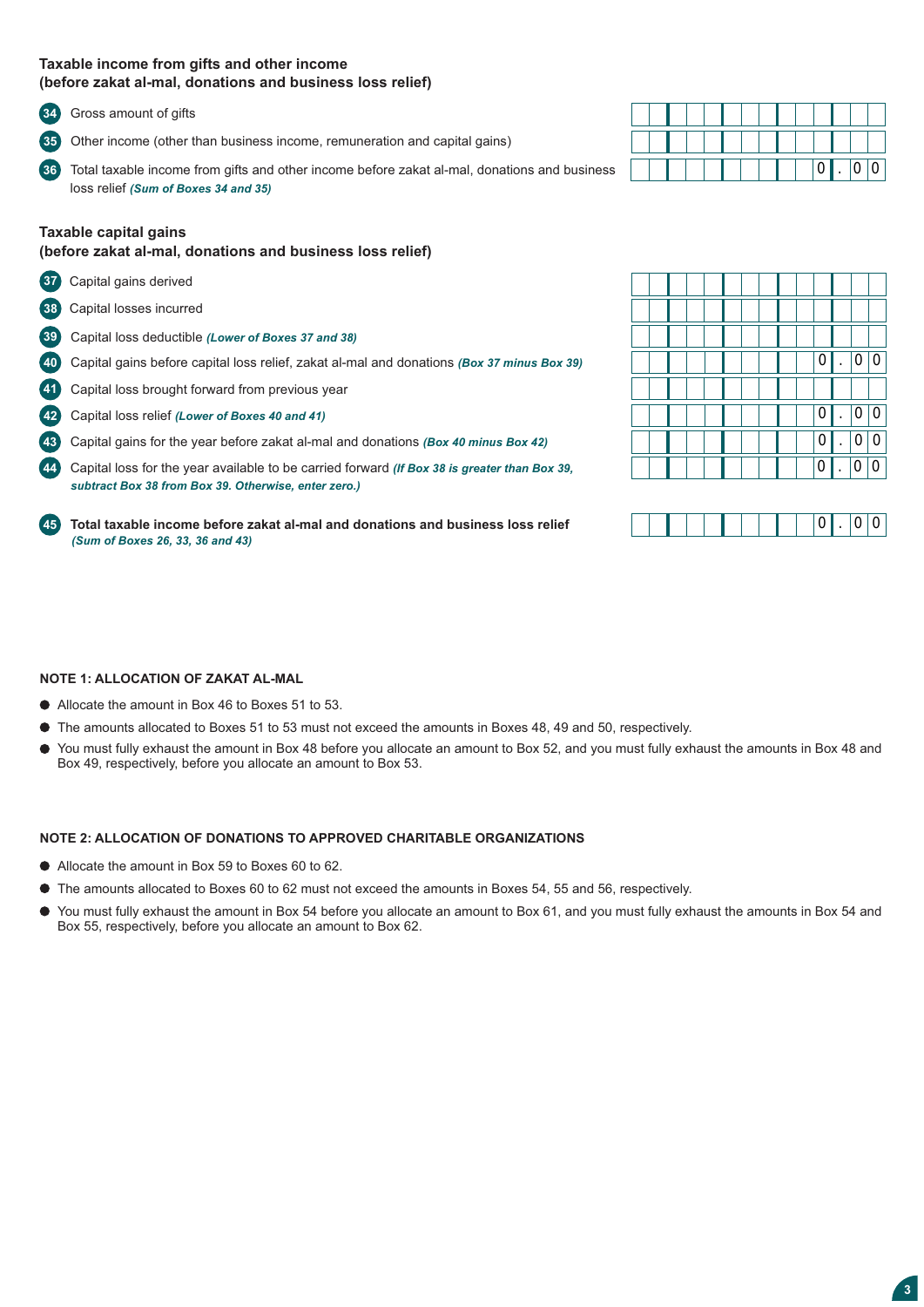### **Taxable income from gifts and other income (before zakat al-mal, donations and business loss relief)**

**34** Gross amount of gifts

**35** Other income (other than business income, remuneration and capital gains)

**362** Total taxable income from gifts and other income before zakat al-mal, donations and business loss relief *(Sum of Boxes 34 and 35)* 

### **Taxable capital gains**

### **(before zakat al-mal, donations and business loss relief)**

- **37** Capital gains derived
- **38** Capital losses incurred
- **392** Capital loss deductible *(Lower of Boxes 37 and 38)*
- **402** Capital gains before capital loss relief, zakat al-mal and donations *(Box 37 minus Box 39)*
- **41** Capital loss brought forward from previous year
- **422** Capital loss relief *(Lower of Boxes 40 and 41)*
- **432** Capital gains for the year before zakat al-mal and donations *(Box 40 minus Box 42)*

**442** Capital loss for the year available to be carried forward *(If Box 38 is greater than Box 39, subtract Box 38 from Box 39. Otherwise, enter zero.)*

**452 Total taxable income before zakat al-mal and donations and business loss relief** *(Sum of Boxes 26, 33, 36 and 43)* 

|  |  |  |  |  | $\overline{0}$ | $\cdot$ | 0 0 |  |
|--|--|--|--|--|----------------|---------|-----|--|

|  |  |  |  |  | 0              |         |                |                |
|--|--|--|--|--|----------------|---------|----------------|----------------|
|  |  |  |  |  |                |         |                |                |
|  |  |  |  |  | $\overline{0}$ | $\cdot$ | $\overline{0}$ | 0 <sup>1</sup> |
|  |  |  |  |  | 0              |         |                |                |
|  |  |  |  |  |                |         |                |                |



### **NOTE 1: ALLOCATION OF ZAKAT AL-MAL**

- Allocate the amount in Box 46 to Boxes 51 to 53.
- The amounts allocated to Boxes 51 to 53 must not exceed the amounts in Boxes 48, 49 and 50, respectively.
- You must fully exhaust the amount in Box 48 before you allocate an amount to Box 52, and you must fully exhaust the amounts in Box 48 and Box 49, respectively, before you allocate an amount to Box 53.

### **NOTE 2: ALLOCATION OF DONATIONS TO APPROVED CHARITABLE ORGANIZATIONS**

- Allocate the amount in Box 59 to Boxes 60 to 62.
- The amounts allocated to Boxes 60 to 62 must not exceed the amounts in Boxes 54, 55 and 56, respectively.
- You must fully exhaust the amount in Box 54 before you allocate an amount to Box 61, and you must fully exhaust the amounts in Box 54 and Box 55, respectively, before you allocate an amount to Box 62.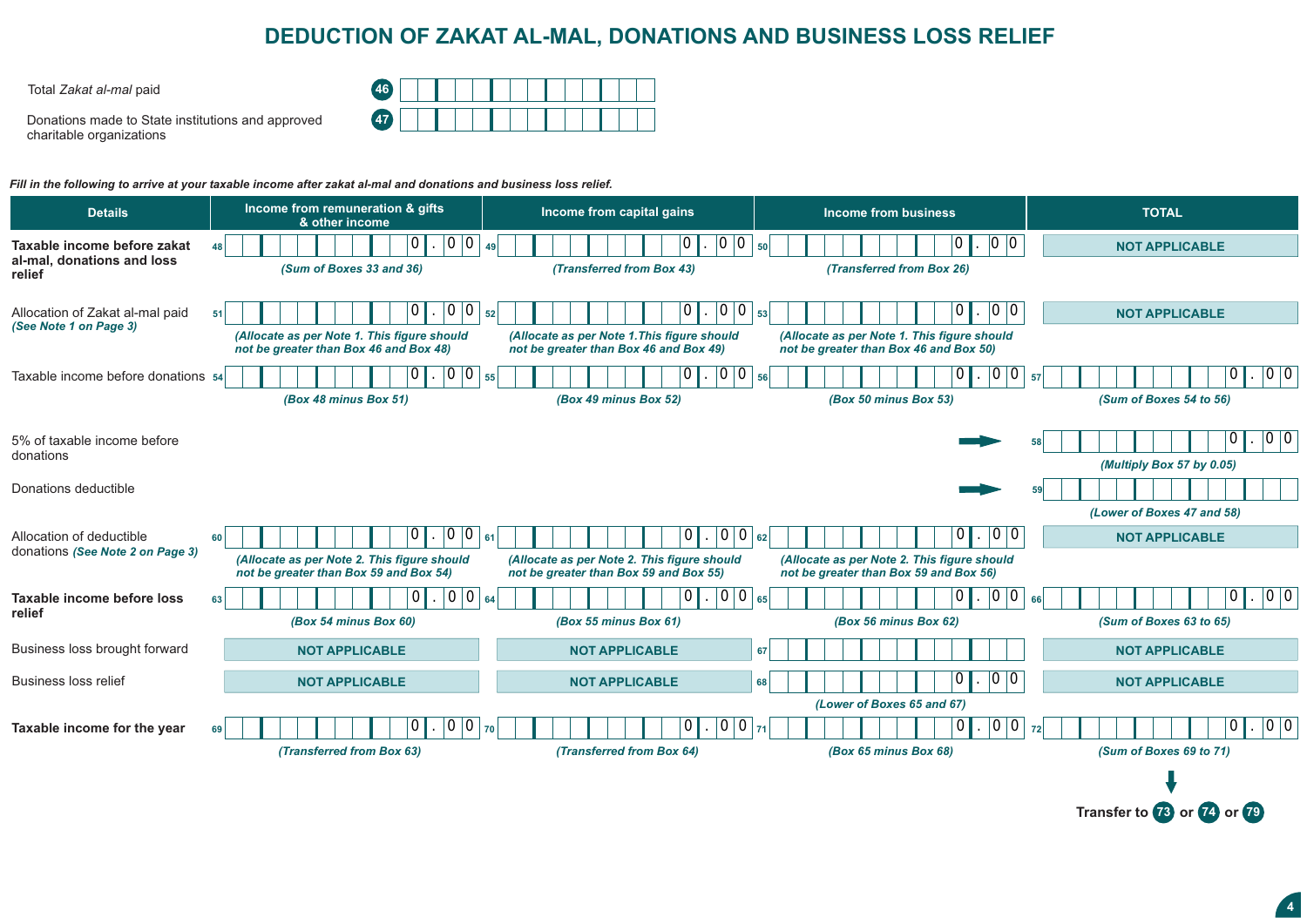## **DEDUCTION OF ZAKAT AL-MAL, DONATIONS AND BUSINESS LOSS RELIEF**

Total *Zakat al-mal* paid **46**

Donations made to State institutions and approved charitable organizations

| 46<br>$\sim$ |  |  |  |  |  |  |  |
|--------------|--|--|--|--|--|--|--|
| 47           |  |  |  |  |  |  |  |

*Fill in the following to arrive at your taxable income after zakat al-mal and donations and business loss relief.*

| <b>Details</b>                                            | Income from remuneration & gifts<br>& other income                                    | Income from capital gains                                                             | Income from business                                                                  | <b>TOTAL</b>               |
|-----------------------------------------------------------|---------------------------------------------------------------------------------------|---------------------------------------------------------------------------------------|---------------------------------------------------------------------------------------|----------------------------|
| Taxable income before zakat<br>al-mal, donations and loss | $\overline{0}$<br>.  0 0<br>48                                                        | 0 0<br>49                                                                             | 0 0<br>50 <sup>1</sup>                                                                | <b>NOT APPLICABLE</b>      |
| relief                                                    | (Sum of Boxes 33 and 36)                                                              | (Transferred from Box 43)                                                             | (Transferred from Box 26)                                                             |                            |
| Allocation of Zakat al-mal paid<br>(See Note 1 on Page 3) | 0<br>52<br>51                                                                         | 0 0                                                                                   | 0<br>$^{\dagger}0$<br>53                                                              | <b>NOT APPLICABLE</b>      |
|                                                           | (Allocate as per Note 1. This figure should<br>not be greater than Box 46 and Box 48) | (Allocate as per Note 1. This figure should<br>not be greater than Box 46 and Box 49) | (Allocate as per Note 1. This figure should<br>not be greater than Box 46 and Box 50) |                            |
| Taxable income before donations 54                        | 0 0 <br>55                                                                            | $ 0 0 _{56} $                                                                         | O<br>$\mathbf 0$                                                                      | 0 0<br>0<br>57             |
|                                                           | (Box 48 minus Box 51)                                                                 | (Box 49 minus Box 52)                                                                 | (Box 50 minus Box 53)                                                                 | (Sum of Boxes 54 to 56)    |
| 5% of taxable income before                               |                                                                                       |                                                                                       |                                                                                       | 0 0<br>10                  |
| donations                                                 |                                                                                       |                                                                                       |                                                                                       | (Multiply Box 57 by 0.05)  |
| Donations deductible                                      |                                                                                       |                                                                                       |                                                                                       |                            |
|                                                           |                                                                                       |                                                                                       |                                                                                       | (Lower of Boxes 47 and 58) |
| Allocation of deductible                                  | $ 0\rangle$<br>61<br>60                                                               | $\overline{0}$<br>$ 0 _{62} $                                                         | 0                                                                                     | <b>NOT APPLICABLE</b>      |
| donations (See Note 2 on Page 3)                          | (Allocate as per Note 2. This figure should<br>not be greater than Box 59 and Box 54) | (Allocate as per Note 2. This figure should<br>not be greater than Box 59 and Box 55) | (Allocate as per Note 2. This figure should<br>not be greater than Box 59 and Box 56) |                            |
| Taxable income before loss                                | $\Omega$<br>$\Omega$<br>$ 0 _{64} $<br>63                                             | $0 0 _{65}$                                                                           | 0 0                                                                                   | 0 0<br> 0 <br>66           |
| relief                                                    | (Box 54 minus Box 60)                                                                 | (Box 55 minus Box 61)                                                                 | (Box 56 minus Box 62)                                                                 | (Sum of Boxes 63 to 65)    |
| Business loss brought forward                             | <b>NOT APPLICABLE</b>                                                                 | <b>NOT APPLICABLE</b>                                                                 | 67                                                                                    | <b>NOT APPLICABLE</b>      |
| <b>Business loss relief</b>                               | <b>NOT APPLICABLE</b>                                                                 | <b>NOT APPLICABLE</b>                                                                 | 68                                                                                    | <b>NOT APPLICABLE</b>      |
|                                                           |                                                                                       |                                                                                       | (Lower of Boxes 65 and 67)                                                            |                            |
| Taxable income for the year                               | 70<br>69                                                                              |                                                                                       | 0 0<br>71                                                                             | 0 0<br>72                  |
|                                                           | (Transferred from Box 63)                                                             | (Transferred from Box 64)                                                             | (Box 65 minus Box 68)                                                                 | (Sum of Boxes 69 to 71)    |
|                                                           |                                                                                       |                                                                                       |                                                                                       |                            |

**Transfer to <b>73** or **74** or **79**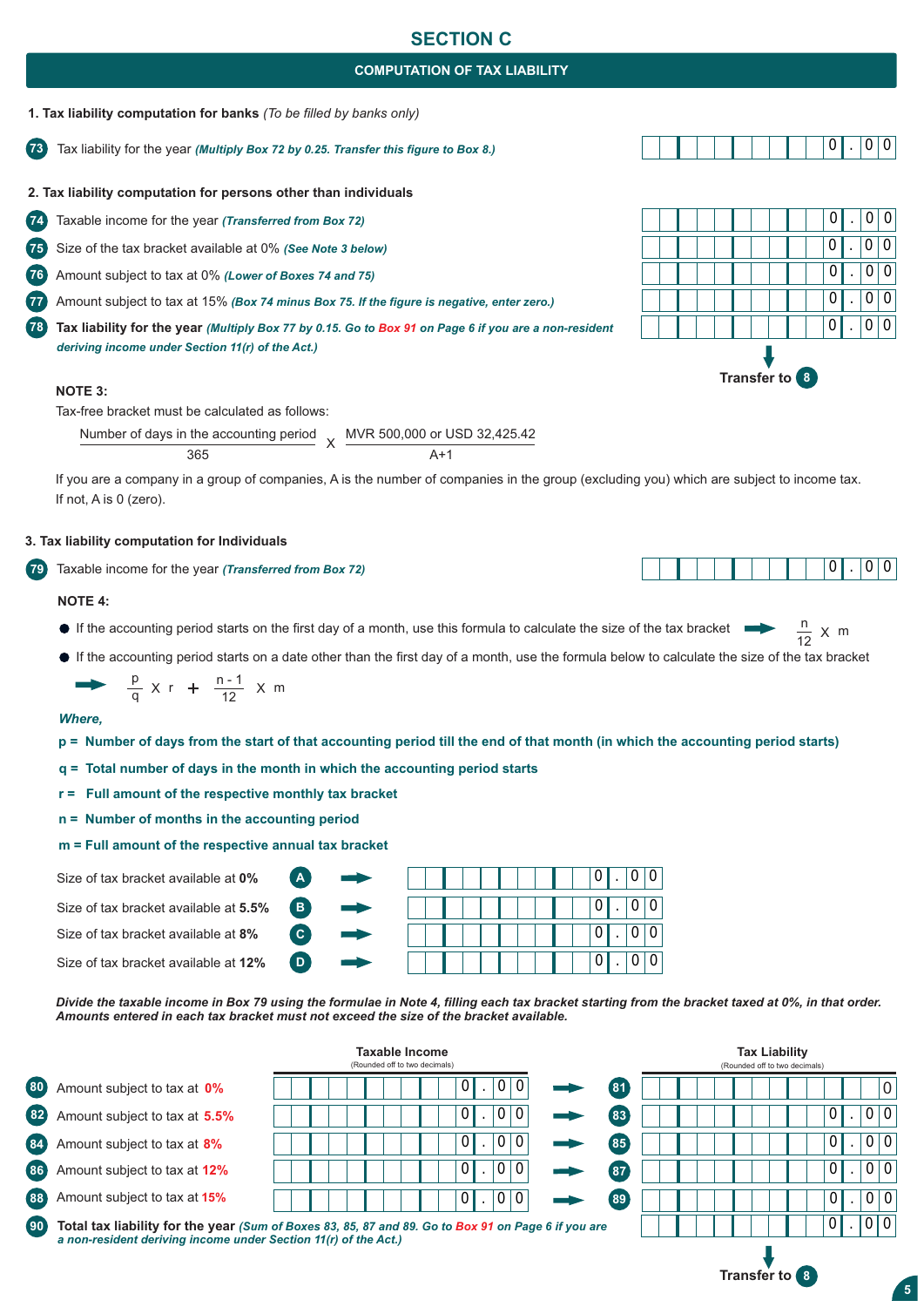### **SECTION C**

### **COMPUTATION OF TAX LIABILITY**



**73** Tax liability for the year *(Multiply Box 72 by 0.25. Transfer this figure to Box 8.)*

**2. Tax liability computation for persons other than individuals** 

**74** Taxable income for the year *(Transferred from Box 72)*

**75** Size of the tax bracket available at 0% *(See Note 3 below)*

**76** Amount subject to tax at 0% *(Lower of Boxes 74 and 75)* 

**77** Amount subject to tax at 15% *(Box 74 minus Box 75. If the figure is negative, enter zero.)*

**78 Tax liability for the year** *(Multiply Box 77 by 0.15. Go to Box 91 on Page 6 if you are a non-resident deriving income under Section 11(r) of the Act.)*

#### **NOTE 3:**

Tax-free bracket must be calculated as follows:

Number of days in the accounting period 365 X MVR 500,000 or USD 32,425.42  $\Delta+1$ 

If you are a company in a group of companies, A is the number of companies in the group (excluding you) which are subject to income tax. If not, A is 0 (zero).

#### **3. Tax liability computation for Individuals**

**792** Taxable income for the year *(Transferred from Box 72)*

#### **NOTE 4:**

- If the accounting period starts on the first day of a month, use this formula to calculate the size of the tax bracket  $\frac{n}{12}$
- If the accounting period starts on a date other than the first day of a month, use the formula below to calculate the size of the tax bracket

$$
\rightarrow \frac{p}{q} \times r + \frac{n-1}{12} \times m
$$

#### *Where,*

- **p = Number of days from the start of that accounting period till the end of that month (in which the accounting period starts)**
- **q = Total number of days in the month in which the accounting period starts**

**B2 C2**

**D2**

**A2**

- **r = Full amount of the respective monthly tax bracket**
- **n = Number of months in the accounting period**

**m = Full amount of the respective annual tax by** 

|  |  |  | Size of tax bracket available at 0% |  |  |
|--|--|--|-------------------------------------|--|--|
|--|--|--|-------------------------------------|--|--|

Size of tax bracket available at **5.5%**

Size of tax bracket available at **8%**

Size of tax bracket available at **12%**

| pracket |  |  |  |  |  |   |           |   |   |  |
|---------|--|--|--|--|--|---|-----------|---|---|--|
|         |  |  |  |  |  | 0 | $\bullet$ |   | 0 |  |
|         |  |  |  |  |  | 0 | ٠         | 0 | 0 |  |
|         |  |  |  |  |  | 0 | ٠         |   | 0 |  |
|         |  |  |  |  |  | 0 | ٠         |   |   |  |

*Divide the taxable income in Box 79 using the formulae in Note 4, filling each tax bracket starting from the bracket taxed at 0%, in that order. Amounts entered in each tax bracket must not exceed the size of the bracket available.*

|     |                                                                 | Taxable Income<br>(Rounded off to two decimals)                                                     |      | <b>Tax Liability</b><br>(Rounded off to two decimals) |
|-----|-----------------------------------------------------------------|-----------------------------------------------------------------------------------------------------|------|-------------------------------------------------------|
| 80  | Amount subject to tax at 0%                                     | $\overline{0}$<br>$\overline{0}$<br>0                                                               | (31) | 0                                                     |
| 82  | Amount subject to tax at 5.5%                                   | $^{\prime}$ 0 $^{\prime}$<br> 0 <br>$\mathbf 0$                                                     | 83   | 0 <br>$\overline{0}$<br>0 <sup>1</sup>                |
| 84  | Amount subject to tax at 8%                                     | $\mathbf{0}$<br>$\overline{0}$<br>$\mathbf 0$                                                       | 85   | 0 0 <br>$\overline{0}$                                |
| 86  | Amount subject to tax at 12%                                    | $\mathbf{0}$<br>$\overline{0}$<br>$\mathbf 0$                                                       | 87   | 0 0 <br>01                                            |
| 88  | Amount subject to tax at 15%                                    | $\vert 0 \vert$<br>$\overline{0}$<br>l 0                                                            | 89   | 0 0 <br>01                                            |
| 90) | a non-resident deriving income under Section 11(r) of the Act.) | Total tax liability for the year (Sum of Boxes 83, 85, 87 and 89. Go to Box 91 on Page 6 if you are |      | 0 0                                                   |
|     |                                                                 |                                                                                                     |      |                                                       |









**5**